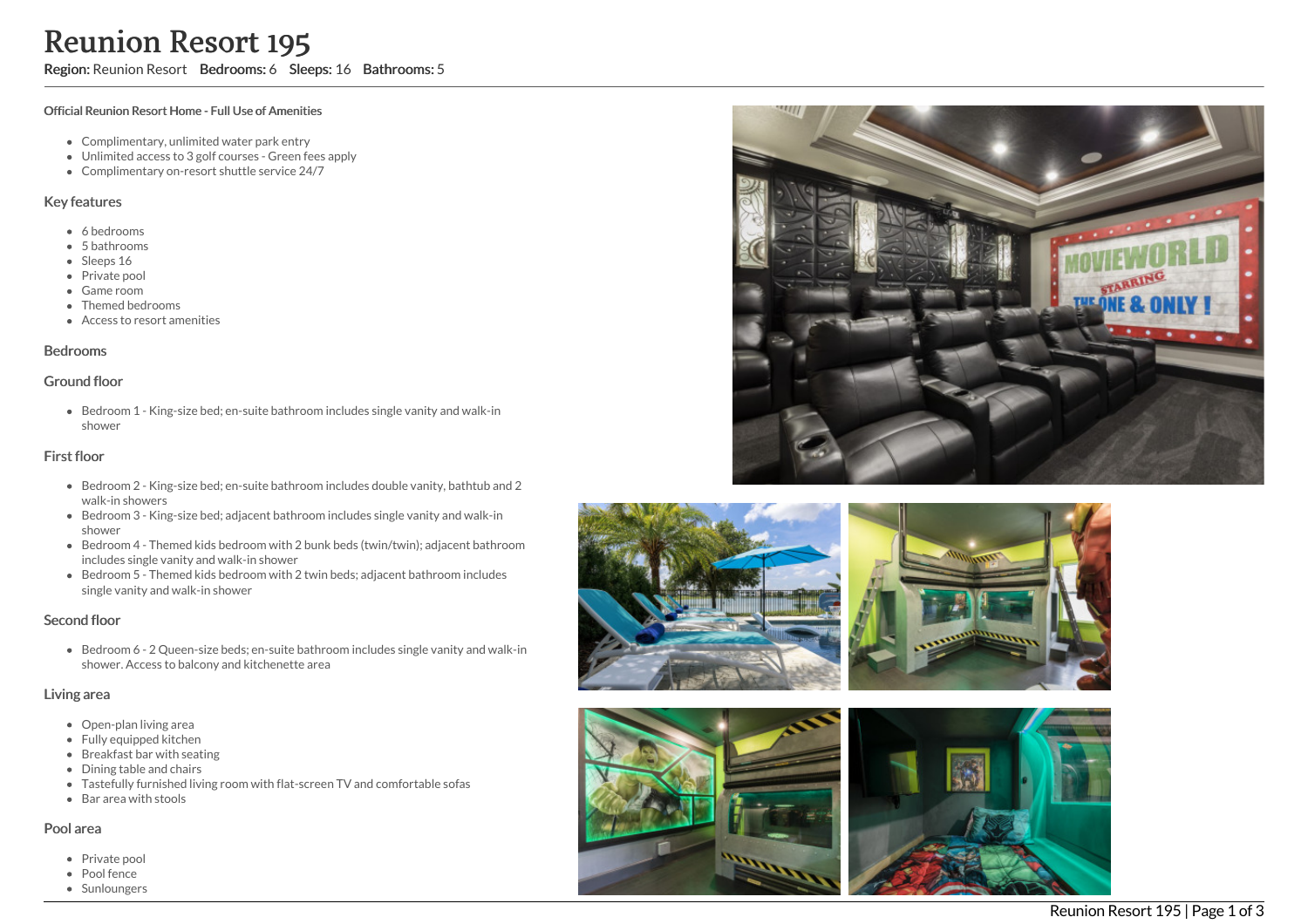# Reunion Resort 195

Region: Reunion Resort Bedrooms: 6 Sleeps: 16 Bathrooms: 5

#### Official Reunion Resort Home - Full Use of Amenities

- Complimentary, unlimited water park entry
- Unlimited access to 3 golf courses Green fees apply
- Complimentary on-resort shuttle service 24/7

#### Key features

- 6 b e d r o o m s
- 5 b a t h r o o m s
- Sleeps 16
- Private pool
- Game room
- Themed bedrooms
- Access to resort amenities

#### **Bedrooms**

#### Ground floor

Bedroom 1 - King-size bed; en-suite bathroom includes single vanity and walk-in s h o w e r

# First floor

- Bedroom 2 King-size bed; en-suite bathroom includes double vanity, bathtub and 2 walk-in showers
- Bedroom 3 King-size bed; adjacent bathroom includes single vanity and walk-in s h o w e r
- Bedroom 4 Themed kids bedroom with 2 bunk beds (twin/twin); adjacent bathroom includes single vanity and walk-in shower
- Bedroom 5 Themed kids bedroom with 2 twin beds; adjacent bathroom includes single vanity and walk-in shower

# Second floor

Bedroom 6 - 2 Queen-size beds; en-suite bathroom includes single vanity and walk-in shower. Access to balcony and kitchenette area

#### Living area

- Open-plan living area
- Fully equipped kitchen
- Breakfast bar with seating
- Dining table and chairs
- Tastefully furnished living room with flat-screen TV and comfortable sofas
- Bar area with stools

#### Pool area

- Private pool
- Pool fence
- Sunloungers







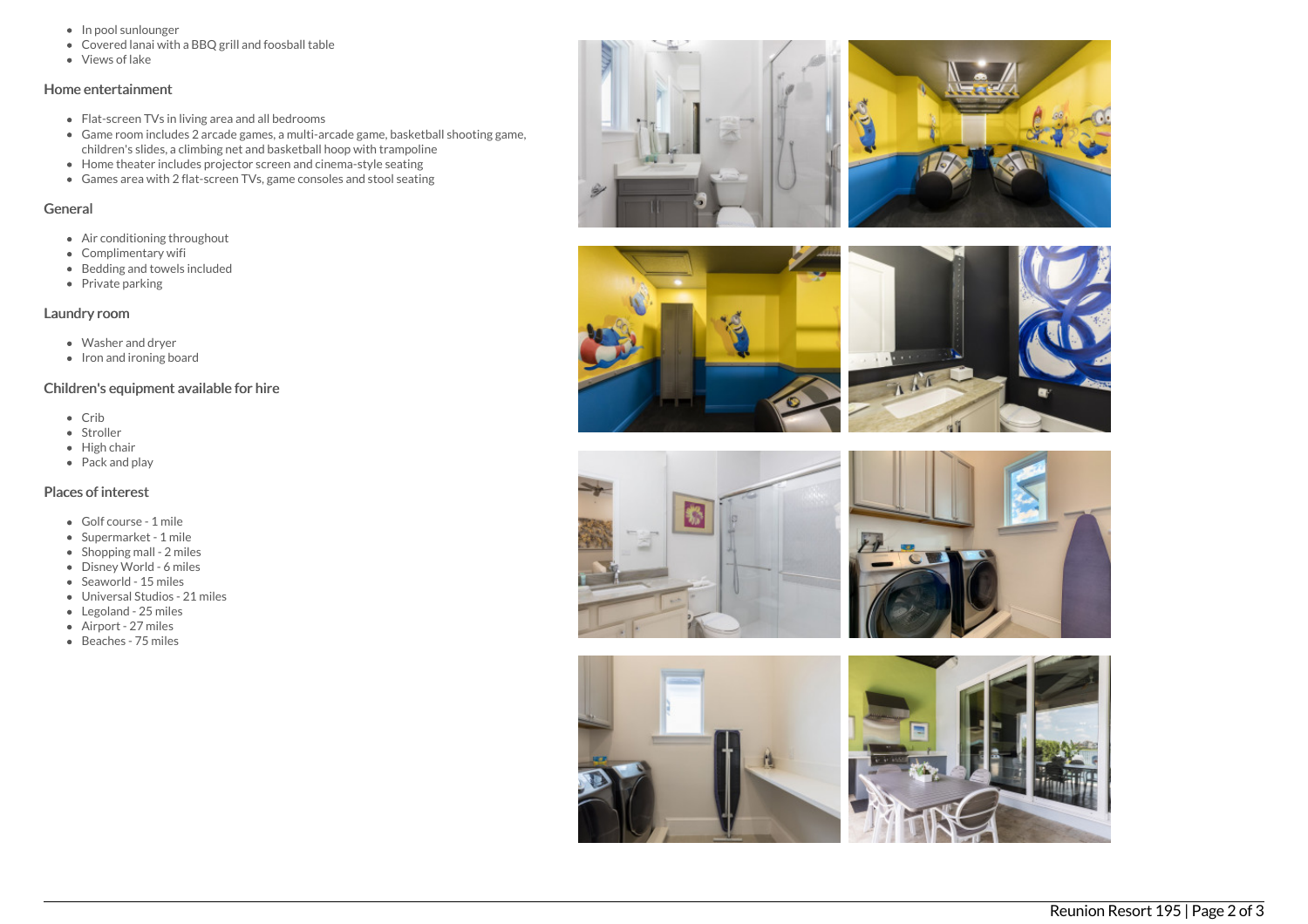- In pool sunlounger
- Covered lanai with a BBQ grill and foosball table
- Views of lake

# Home entertainment

- Flat-screen TVs in living area and all bedrooms
- Game room includes 2 arcade games, a multi-arcade game, basketball shooting game, children's slides, a climbing net and basketball hoop with trampoline
- Home theater includes projector screen and cinema-style seating
- Games area with 2 flat-screen TVs, game consoles and stool seating

# General

- Air conditioning throughout
- Complimentary wifi
- Bedding and towels included
- $\bullet$  Private parking

# Laundry room

- Washer and dryer
- $\bullet$  Iron and ironing board

# Children's equipment available for hire

- Crib
- Stroller
- High chair
- $\bullet$  Pack and play

# Places of interest

- Golf course 1 mile
- Supermarket 1 mile
- Shopping mall 2 miles
- Disney World 6 miles
- Seaworld 15 miles
- Universal Studios 21 miles
- Legoland 25 miles
- Airport 27 miles
- Beaches 75 miles